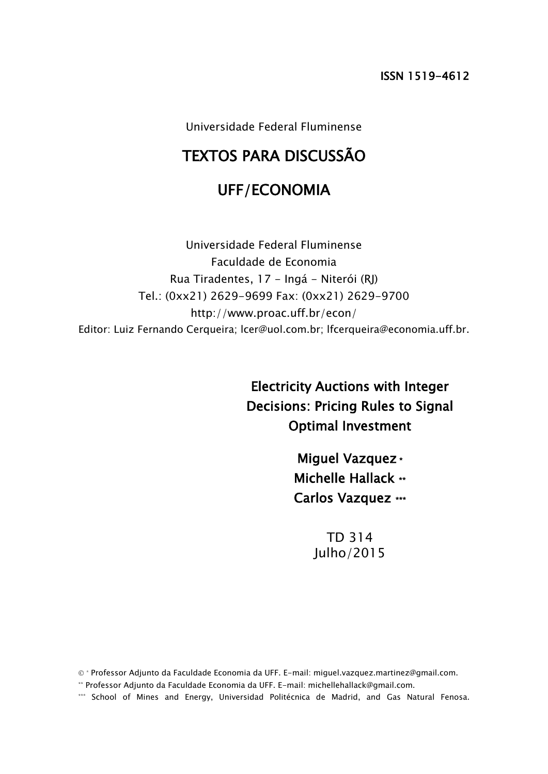Universidade Federal Fluminense

# TEXTOS PARA DISCUSSÃO

# UFF/ECONOMIA

Universidade Federal Fluminense Faculdade de Economia Rua Tiradentes, 17 - Ingá - Niterói (RJ) Tel.: (0xx21) 2629-9699 Fax: (0xx21) 2629-9700 http://www.proac.uff.br/econ/ Editor: Luiz Fernando Cerqueira; lcer@uol.com.br; lfcerqueira@economia.uff.br.

> Electricity Auctions with Integer Decisions: Pricing Rules to Signal Optimal Investment

> > Miguel Vazquez \* Michelle Hallack \*\* Carlos Vazquez \*\*\*

> > > TD 314 Julho/2015

\* Professor Adjunto da Faculdade Economia da UFF. E-mail: miguel.vazquez.martinez@gmail.com.

\*\* Professor Adjunto da Faculdade Economia da UFF. E-mail: michellehallack@gmail.com.

\*\*\* School of Mines and Energy, Universidad Politécnica de Madrid, and Gas Natural Fenosa.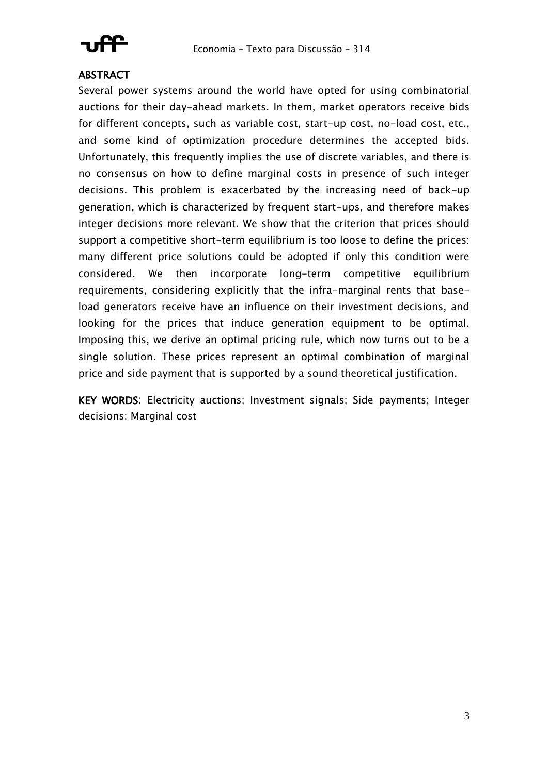

#### **ABSTRACT**

Several power systems around the world have opted for using combinatorial auctions for their day-ahead markets. In them, market operators receive bids for different concepts, such as variable cost, start-up cost, no-load cost, etc., and some kind of optimization procedure determines the accepted bids. Unfortunately, this frequently implies the use of discrete variables, and there is no consensus on how to define marginal costs in presence of such integer decisions. This problem is exacerbated by the increasing need of back-up generation, which is characterized by frequent start-ups, and therefore makes integer decisions more relevant. We show that the criterion that prices should support a competitive short-term equilibrium is too loose to define the prices: many different price solutions could be adopted if only this condition were considered. We then incorporate long-term competitive equilibrium requirements, considering explicitly that the infra-marginal rents that baseload generators receive have an influence on their investment decisions, and looking for the prices that induce generation equipment to be optimal. Imposing this, we derive an optimal pricing rule, which now turns out to be a single solution. These prices represent an optimal combination of marginal price and side payment that is supported by a sound theoretical justification.

KEY WORDS: Electricity auctions; Investment signals; Side payments; Integer decisions; Marginal cost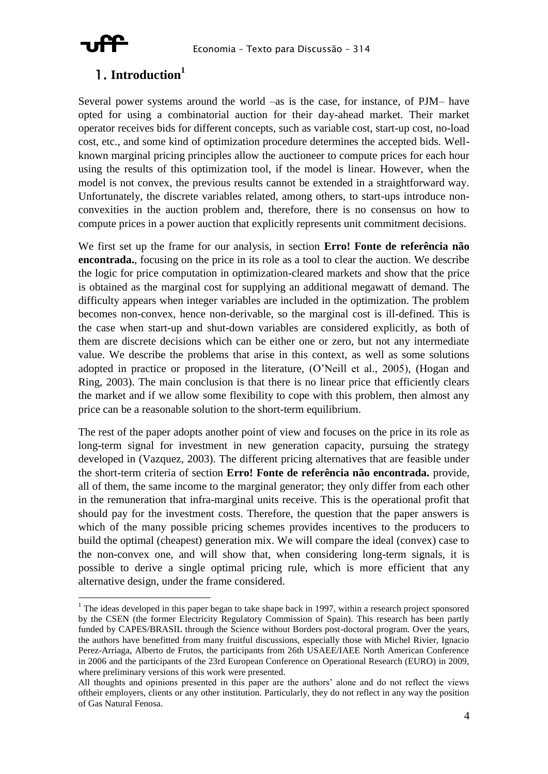

#### 1. Introduction<sup>1</sup>

Several power systems around the world -as is the case, for instance, of PJM- have opted for using a combinatorial auction for their day-ahead market. Their market operator receives bids for different concepts, such as variable cost, start-up cost, no-load cost, etc., and some kind of optimization procedure determines the accepted bids. Wellknown marginal pricing principles allow the auctioneer to compute prices for each hour using the results of this optimization tool, if the model is linear. However, when the model is not convex, the previous results cannot be extended in a straightforward way. Unfortunately, the discrete variables related, among others, to start-ups introduce nonconvexities in the auction problem and, therefore, there is no consensus on how to compute prices in a power auction that explicitly represents unit commitment decisions.

We first set up the frame for our analysis, in section Erro! Fonte de referência não encontrada, focusing on the price in its role as a tool to clear the auction. We describe the logic for price computation in optimization-cleared markets and show that the price is obtained as the marginal cost for supplying an additional megawatt of demand. The difficulty appears when integer variables are included in the optimization. The problem becomes non-convex, hence non-derivable, so the marginal cost is ill-defined. This is the case when start-up and shut-down variables are considered explicitly, as both of them are discrete decisions which can be either one or zero, but not any intermediate value. We describe the problems that arise in this context, as well as some solutions adopted in practice or proposed in the literature, (O'Neill et al., 2005), (Hogan and Ring, 2003). The main conclusion is that there is no linear price that efficiently clears the market and if we allow some flexibility to cope with this problem, then almost any price can be a reasonable solution to the short-term equilibrium.

The rest of the paper adopts another point of view and focuses on the price in its role as long-term signal for investment in new generation capacity, pursuing the strategy developed in (Vazquez, 2003). The different pricing alternatives that are feasible under the short-term criteria of section Erro! Fonte de referência não encontrada. provide, all of them, the same income to the marginal generator; they only differ from each other in the remuneration that infra-marginal units receive. This is the operational profit that should pay for the investment costs. Therefore, the question that the paper answers is which of the many possible pricing schemes provides incentives to the producers to build the optimal (cheapest) generation mix. We will compare the ideal (convex) case to the non-convex one, and will show that, when considering long-term signals, it is possible to derive a single optimal pricing rule, which is more efficient that any alternative design, under the frame considered.

 $1$  The ideas developed in this paper began to take shape back in 1997, within a research project sponsored by the CSEN (the former Electricity Regulatory Commission of Spain). This research has been partly funded by CAPES/BRASIL through the Science without Borders post-doctoral program. Over the years, the authors have benefitted from many fruitful discussions, especially those with Michel Rivier, Ignacio Perez-Arriaga, Alberto de Frutos, the participants from 26th USAEE/IAEE North American Conference in 2006 and the participants of the 23rd European Conference on Operational Research (EURO) in 2009, where preliminary versions of this work were presented.

All thoughts and opinions presented in this paper are the authors' alone and do not reflect the views of their employers, clients or any other institution. Particularly, they do not reflect in any way the position of Gas Natural Fenosa.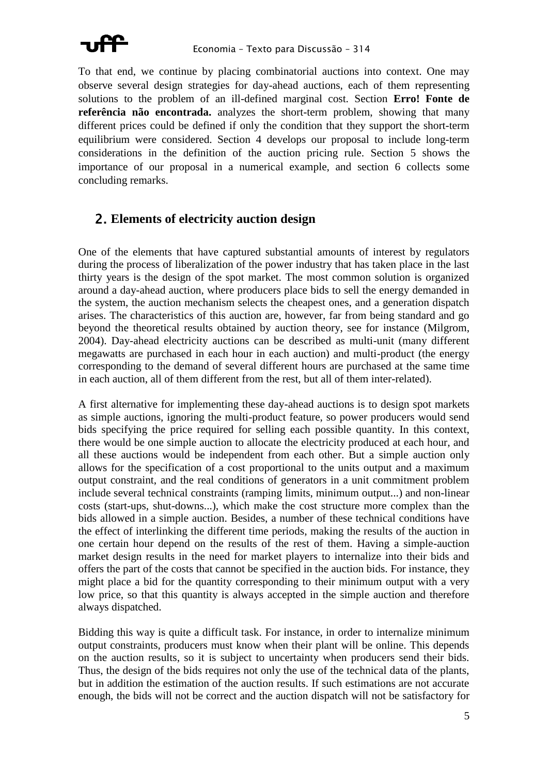

To that end, we continue by placing combinatorial auctions into context. One may observe several design strategies for day-ahead auctions, each of them representing solutions to the problem of an ill-defined marginal cost. Section **Erro! Fonte de referência não encontrada.** analyzes the short-term problem, showing that many different prices could be defined if only the condition that they support the short-term equilibrium were considered. Section [4](#page-12-0) develops our proposal to include long-term considerations in the definition of the auction pricing rule. Section [5](#page-19-0) shows the importance of our proposal in a numerical example, and section [6](#page-22-0) collects some concluding remarks.

#### 2. **Elements of electricity auction design**

One of the elements that have captured substantial amounts of interest by regulators during the process of liberalization of the power industry that has taken place in the last thirty years is the design of the spot market. The most common solution is organized around a day-ahead auction, where producers place bids to sell the energy demanded in the system, the auction mechanism selects the cheapest ones, and a generation dispatch arises. The characteristics of this auction are, however, far from being standard and go beyond the theoretical results obtained by auction theory, see for instance (Milgrom, 2004). Day-ahead electricity auctions can be described as multi-unit (many different megawatts are purchased in each hour in each auction) and multi-product (the energy corresponding to the demand of several different hours are purchased at the same time in each auction, all of them different from the rest, but all of them inter-related).

A first alternative for implementing these day-ahead auctions is to design spot markets as simple auctions, ignoring the multi-product feature, so power producers would send bids specifying the price required for selling each possible quantity. In this context, there would be one simple auction to allocate the electricity produced at each hour, and all these auctions would be independent from each other. But a simple auction only allows for the specification of a cost proportional to the units output and a maximum output constraint, and the real conditions of generators in a unit commitment problem include several technical constraints (ramping limits, minimum output...) and non-linear costs (start-ups, shut-downs...), which make the cost structure more complex than the bids allowed in a simple auction. Besides, a number of these technical conditions have the effect of interlinking the different time periods, making the results of the auction in one certain hour depend on the results of the rest of them. Having a simple-auction market design results in the need for market players to internalize into their bids and offers the part of the costs that cannot be specified in the auction bids. For instance, they might place a bid for the quantity corresponding to their minimum output with a very low price, so that this quantity is always accepted in the simple auction and therefore always dispatched.

Bidding this way is quite a difficult task. For instance, in order to internalize minimum output constraints, producers must know when their plant will be online. This depends on the auction results, so it is subject to uncertainty when producers send their bids. Thus, the design of the bids requires not only the use of the technical data of the plants, but in addition the estimation of the auction results. If such estimations are not accurate enough, the bids will not be correct and the auction dispatch will not be satisfactory for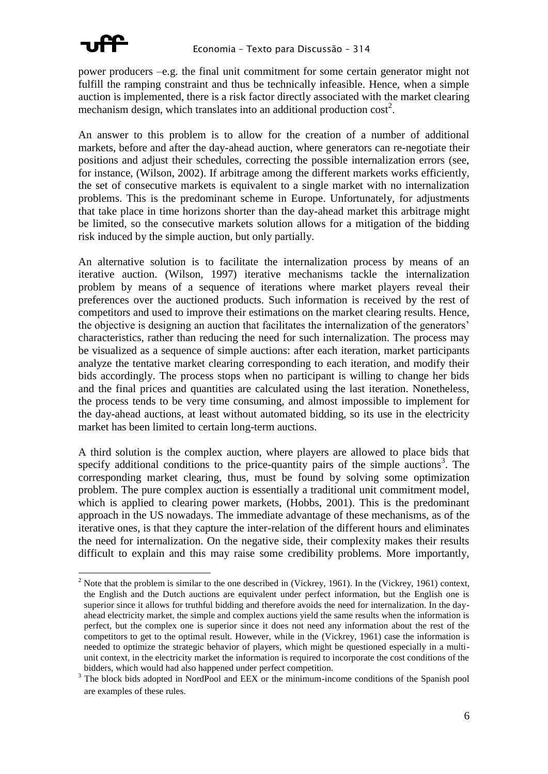

power producers  $-e.g.$  the final unit commitment for some certain generator might not fulfill the ramping constraint and thus be technically infeasible. Hence, when a simple auction is implemented, there is a risk factor directly associated with the market clearing mechanism design, which translates into an additional production cost<sup>2</sup>.

An answer to this problem is to allow for the creation of a number of additional markets, before and after the day-ahead auction, where generators can re-negotiate their positions and adjust their schedules, correcting the possible internalization errors (see, for instance, (Wilson, 2002). If arbitrage among the different markets works efficiently, the set of consecutive markets is equivalent to a single market with no internalization problems. This is the predominant scheme in Europe. Unfortunately, for adjustments that take place in time horizons shorter than the day-ahead market this arbitrage might be limited, so the consecutive markets solution allows for a mitigation of the bidding risk induced by the simple auction, but only partially.

An alternative solution is to facilitate the internalization process by means of an iterative auction. (Wilson, 1997) iterative mechanisms tackle the internalization problem by means of a sequence of iterations where market players reveal their preferences over the auctioned products. Such information is received by the rest of competitors and used to improve their estimations on the market clearing results. Hence, the objective is designing an auction that facilitates the internalization of the generators' characteristics, rather than reducing the need for such internalization. The process may be visualized as a sequence of simple auctions: after each iteration, market participants analyze the tentative market clearing corresponding to each iteration, and modify their bids accordingly. The process stops when no participant is willing to change her bids and the final prices and quantities are calculated using the last iteration. Nonetheless, the process tends to be very time consuming, and almost impossible to implement for the day-ahead auctions, at least without automated bidding, so its use in the electricity market has been limited to certain long-term auctions.

A third solution is the complex auction, where players are allowed to place bids that specify additional conditions to the price-quantity pairs of the simple auctions<sup>3</sup>. The corresponding market clearing, thus, must be found by solving some optimization problem. The pure complex auction is essentially a traditional unit commitment model, which is applied to clearing power markets, (Hobbs, 2001). This is the predominant approach in the US nowadays. The immediate advantage of these mechanisms, as of the iterative ones, is that they capture the inter-relation of the different hours and eliminates the need for internalization. On the negative side, their complexity makes their results difficult to explain and this may raise some credibility problems. More importantly,

<sup>&</sup>lt;sup>2</sup> Note that the problem is similar to the one described in (Vickrey, 1961). In the (Vickrey, 1961) context, the English and the Dutch auctions are equivalent under perfect information, but the English one is superior since it allows for truthful bidding and therefore avoids the need for internalization. In the dayahead electricity market, the simple and complex auctions yield the same results when the information is perfect, but the complex one is superior since it does not need any information about the rest of the competitors to get to the optimal result. However, while in the (Vickrey, 1961) case the information is needed to optimize the strategic behavior of players, which might be questioned especially in a multiunit context, in the electricity market the information is required to incorporate the cost conditions of the bidders, which would had also happened under perfect competition.

 $3$  The block bids adopted in NordPool and EEX or the minimum-income conditions of the Spanish pool are examples of these rules.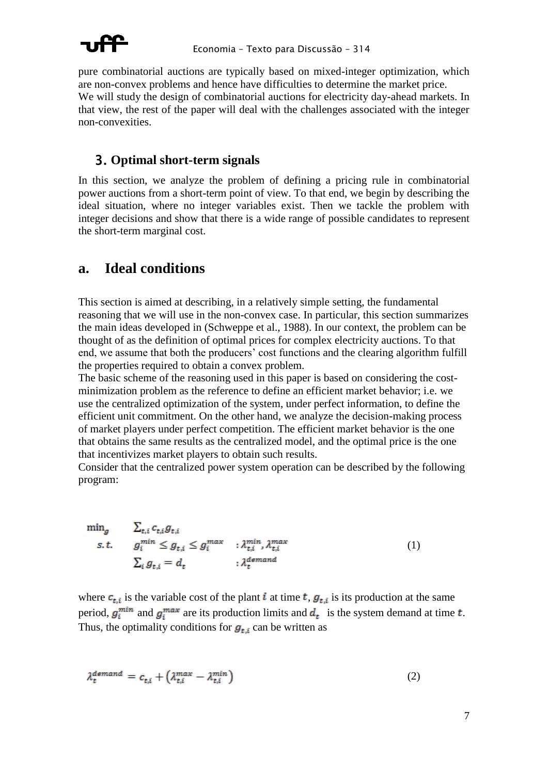

pure combinatorial auctions are typically based on mixed-integer optimization, which are non-convex problems and hence have difficulties to determine the market price. We will study the design of combinatorial auctions for electricity day-ahead markets. In that view, the rest of the paper will deal with the challenges associated with the integer non-convexities.

#### 3. **Optimal short-term signals**

In this section, we analyze the problem of defining a pricing rule in combinatorial power auctions from a short-term point of view. To that end, we begin by describing the ideal situation, where no integer variables exist. Then we tackle the problem with integer decisions and show that there is a wide range of possible candidates to represent the short-term marginal cost.

## <span id="page-5-2"></span>**a. Ideal conditions**

This section is aimed at describing, in a relatively simple setting, the fundamental reasoning that we will use in the non-convex case. In particular, this section summarizes the main ideas developed in (Schweppe et al., 1988). In our context, the problem can be thought of as the definition of optimal prices for complex electricity auctions. To that end, we assume that both the producers' cost functions and the clearing algorithm fulfill the properties required to obtain a convex problem.

The basic scheme of the reasoning used in this paper is based on considering the costminimization problem as the reference to define an efficient market behavior; i.e. we use the centralized optimization of the system, under perfect information, to define the efficient unit commitment. On the other hand, we analyze the decision-making process of market players under perfect competition. The efficient market behavior is the one that obtains the same results as the centralized model, and the optimal price is the one that incentivizes market players to obtain such results.

Consider that the centralized power system operation can be described by the following program:

<span id="page-5-1"></span> $\begin{aligned} \min_{g}&\qquad &\textstyle\sum_{t,i}c_{t,i}g_{t,i}\\ s.t.&\qquad &g^{min}_{i}\leq g_{t,i}\leq g^{max}_{i}\qquad:\lambda^{min}_{t,i},\lambda^{max}_{t,i}\\ &\textstyle\sum_{i}g_{t,i}=d_{t}\qquad \qquad:\lambda^{demand}_{t} \end{aligned}$ (1)

where  $c_{t,i}$  is the variable cost of the plant i at time t,  $g_{t,i}$  is its production at the same period,  $g_i^{min}$  and  $g_i^{max}$  are its production limits and  $d_t$  is the system demand at time t. Thus, the optimality conditions for  $g_{t,i}$  can be written as

<span id="page-5-0"></span>
$$
\lambda_t^{demand} = c_{t,i} + \left(\lambda_{t,i}^{max} - \lambda_{t,i}^{min}\right) \tag{2}
$$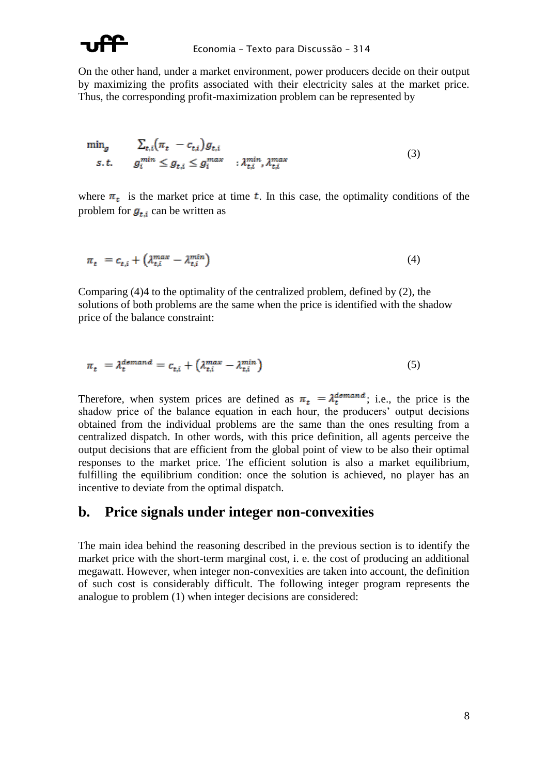

On the other hand, under a market environment, power producers decide on their output by maximizing the profits associated with their electricity sales at the market price. Thus, the corresponding profit-maximization problem can be represented by

<span id="page-6-1"></span>
$$
\min_{g} \qquad \sum_{t,i} \left( \pi_t - c_{t,i} \right) g_{t,i} s.t. \qquad g_i^{min} \leq g_{t,i} \leq g_i^{max} \qquad ; \lambda_{t,i}^{min}, \lambda_{t,i}^{max}
$$
\n
$$
(3)
$$

where  $\pi_t$  is the market price at time t. In this case, the optimality conditions of the problem for  $g_{t,i}$  can be written as

<span id="page-6-0"></span>
$$
\pi_t = c_{t,i} + \left(\lambda_{t,i}^{max} - \lambda_{t,i}^{min}\right) \tag{4}
$$

Comparing  $(4)4$  to the optimality of the centralized problem, defined by  $(2)$ , the solutions of both problems are the same when the price is identified with the shadow price of the balance constraint:

$$
\pi_t = \lambda_t^{demand} = c_{t,i} + \left(\lambda_{t,i}^{max} - \lambda_{t,i}^{min}\right) \tag{5}
$$

Therefore, when system prices are defined as  $\pi_t = \lambda_t^{demand}$ ; i.e., the price is the shadow price of the balance equation in each hour, the producers' output decisions obtained from the individual problems are the same than the ones resulting from a centralized dispatch. In other words, with this price definition, all agents perceive the output decisions that are efficient from the global point of view to be also their optimal responses to the market price. The efficient solution is also a market equilibrium, fulfilling the equilibrium condition: once the solution is achieved, no player has an incentive to deviate from the optimal dispatch.

#### Price signals under integer non-convexities **.**

The main idea behind the reasoning described in the previous section is to identify the market price with the short-term marginal cost, i. e. the cost of producing an additional megawatt. However, when integer non-convexities are taken into account, the definition of such cost is considerably difficult. The following integer program represents the analogue to problem (1) when integer decisions are considered: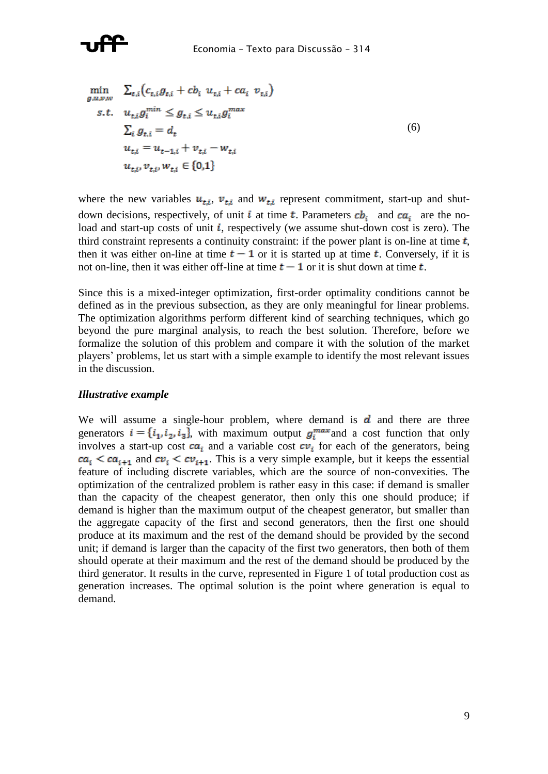

<span id="page-7-0"></span>
$$
\min_{g,u,v,w} \sum_{t,i} (c_{t,i} g_{t,i} + c b_i u_{t,i} + c a_i v_{t,i})
$$
\n
$$
s.t. \quad u_{t,i} g_i^{min} \leq g_{t,i} \leq u_{t,i} g_i^{max}
$$
\n
$$
\sum_{i} g_{t,i} = d_t
$$
\n
$$
u_{t,i} = u_{t-1,i} + v_{t,i} - w_{t,i}
$$
\n
$$
u_{t,i}, v_{t,i}, w_{t,i} \in \{0,1\}
$$
\n(6)

where the new variables  $u_{t,i}$ ,  $v_{t,i}$  and  $w_{t,i}$  represent commitment, start-up and shutdown decisions, respectively, of unit i at time t. Parameters  $cb_i$  and  $ca_i$  are the noload and start-up costs of unit  $i$ , respectively (we assume shut-down cost is zero). The third constraint represents a continuity constraint: if the power plant is on-line at time  $t$ , then it was either on-line at time  $t - 1$  or it is started up at time t. Conversely, if it is not on-line, then it was either of f-line at time  $t-1$  or it is shut down at time  $t$ .

Since this is a mixed-integer optimization, first-order optimality conditions cannot be defined as in the previous subsection, as they are only meaningful for linear problems. The optimization algorithms perform different kind of searching techniques, which go beyond the pure marginal analysis, to reach the best solution. Therefore, before we formalize the solution of this problem and compare it with the solution of the market players' problems, let us start with a simple example to identify the most relevant issues in the discussion.

#### *Illustrative example*

We will assume a single-hour problem, where demand is  $\boldsymbol{d}$  and there are three generators  $i = \{i_1, i_2, i_3\}$ , with maximum output  $g_i^{\text{max}}$  and a cost function that only involves a start-up cost  $ca_i$  and a variable cost  $cv_i$  for each of the generators, being  $ca_i$  <  $ca_{i+1}$  and  $cv_i$  <  $cv_{i+1}$ . This is a very simple example, but it keeps the essential feature of including discrete variables, which are the source of non-convexities. The optimization of the centralized problem is rather easy in this case: if demand is smaller than the capacity of the cheapest generator, then only this one should produce; if demand is higher than the maximum output of the cheapest generator, but smaller than the aggregate capacity of the first and second generators, then the first one should produce at its maximum and the rest of the demand should be provided by the second unit; if demand is larger than the capacity of the first two generators, then both of them should operate at their maximum and the rest of the demand should be produced by the third generator. It results in the curve, represented in [Figure 1](#page-8-0) of total production cost as generation increases. The optimal solution is the point where generation is equal to demand.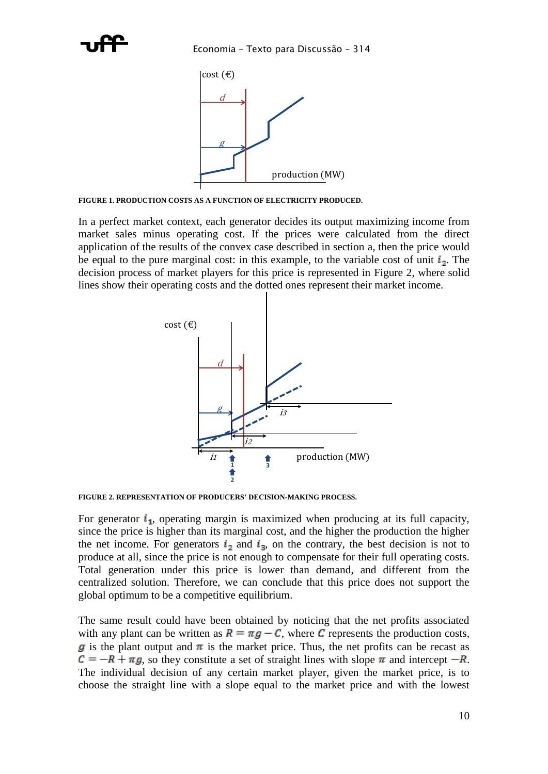

<span id="page-8-0"></span>**FIGURE 1. PRODUCTION COSTS AS A FUNCTION OF ELECTRICITY PRODUCED.** 

In a perfect market context, each generator decides its output maximizing income from market sales minus operating cost. If the prices were calculated from the direct application of the results of the convex case described in section [a,](#page-5-2) then the price would be equal to the pure marginal cost: in this example, to the variable cost of unit  $i_2$ . The decision process of market players for this price is represented in [Figure 2,](#page-8-1) where solid lines show their operating costs and the dotted ones represent their market income.



<span id="page-8-1"></span>**FIGURE 2. REPRESENTATION OF PRODUCERS' DECISION-MAKING PROCESS.** 

For generator  $i_1$ , operating margin is maximized when producing at its full capacity, since the price is higher than its marginal cost, and the higher the production the higher the net income. For generators  $i_2$  and  $i_3$ , on the contrary, the best decision is not to produce at all, since the price is not enough to compensate for their full operating costs. Total generation under this price is lower than demand, and different from the centralized solution. Therefore, we can conclude that this price does not support the global optimum to be a competitive equilibrium.

The same result could have been obtained by noticing that the net profits associated with any plant can be written as  $R = \pi g - C$ , where C represents the production costs, g is the plant output and  $\pi$  is the market price. Thus, the net profits can be recast as  $C = -R + \pi g$ , so they constitute a set of straight lines with slope  $\pi$  and intercept  $-R$ . The individual decision of any certain market player, given the market price, is to choose the straight line with a slope equal to the market price and with the lowest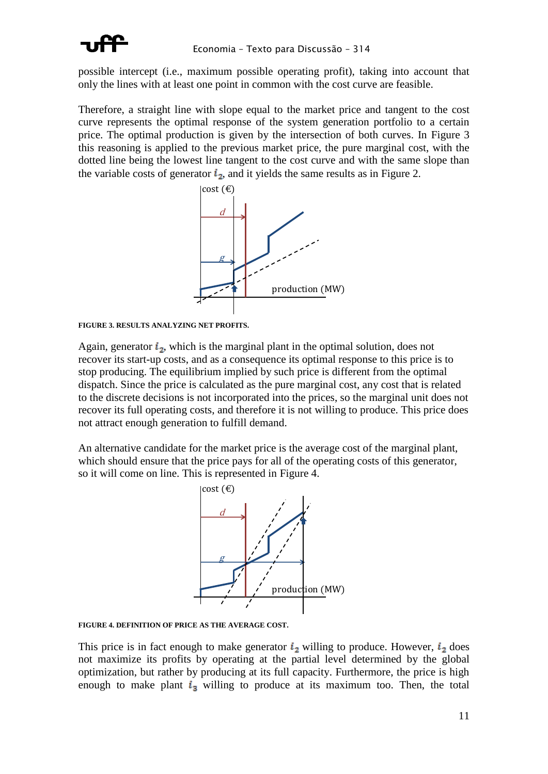

possible intercept (i.e., maximum possible operating profit), taking into account that only the lines with at least one point in common with the cost curve are feasible.

Therefore, a straight line with slope equal to the market price and tangent to the cost curve represents the optimal response of the system generation portfolio to a certain price. The optimal production is given by the intersection of both curves. In Figure 3 this reasoning is applied to the previous market price, the pure marginal cost, with the dotted line being the lowest line tangent to the cost curve and with the same slope than the variable costs of generator  $i_2$ , and it yields the same results as in Figure 2.



<span id="page-9-0"></span>FIGURE 3. RESULTS ANALYZING NET PROFITS.

Again, generator  $i_2$ , which is the marginal plant in the optimal solution, does not recover its start-up costs, and as a consequence its optimal response to this price is to stop producing. The equilibrium implied by such price is different from the optimal dispatch. Since the price is calculated as the pure marginal cost, any cost that is related to the discrete decisions is not incorporated into the prices, so the marginal unit does not recover its full operating costs, and therefore it is not willing to produce. This price does not attract enough generation to fulfill demand.

An alternative candidate for the market price is the average cost of the marginal plant, which should ensure that the price pays for all of the operating costs of this generator, so it will come on line. This is represented in Figure 4.



<span id="page-9-1"></span>FIGURE 4. DEFINITION OF PRICE AS THE AVERAGE COST.

This price is in fact enough to make generator  $i_2$  willing to produce. However,  $i_2$  does not maximize its profits by operating at the partial level determined by the global optimization, but rather by producing at its full capacity. Furthermore, the price is high enough to make plant  $i_3$  willing to produce at its maximum too. Then, the total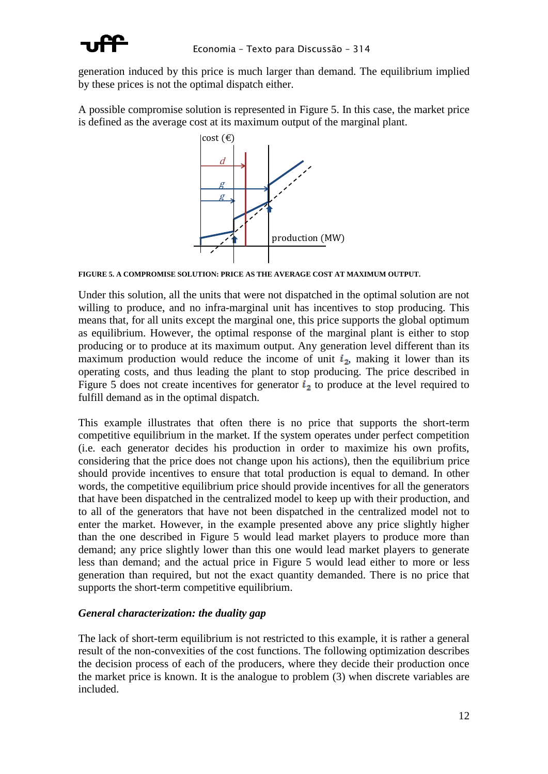

generation induced by this price is much larger than demand. The equilibrium implied by these prices is not the optimal dispatch either.

A possible compromise solution is represented in [Figure 5.](#page-10-0) In this case, the market price is defined as the average cost at its maximum output of the marginal plant.



<span id="page-10-0"></span>**FIGURE 5. A COMPROMISE SOLUTION: PRICE AS THE AVERAGE COST AT MAXIMUM OUTPUT.**

Under this solution, all the units that were not dispatched in the optimal solution are not willing to produce, and no infra-marginal unit has incentives to stop producing. This means that, for all units except the marginal one, this price supports the global optimum as equilibrium. However, the optimal response of the marginal plant is either to stop producing or to produce at its maximum output. Any generation level different than its maximum production would reduce the income of unit  $i_2$ , making it lower than its operating costs, and thus leading the plant to stop producing. The price described in [Figure 5](#page-10-0) does not create incentives for generator  $i_2$  to produce at the level required to fulfill demand as in the optimal dispatch.

This example illustrates that often there is no price that supports the short-term competitive equilibrium in the market. If the system operates under perfect competition (i.e. each generator decides his production in order to maximize his own profits, considering that the price does not change upon his actions), then the equilibrium price should provide incentives to ensure that total production is equal to demand. In other words, the competitive equilibrium price should provide incentives for all the generators that have been dispatched in the centralized model to keep up with their production, and to all of the generators that have not been dispatched in the centralized model not to enter the market. However, in the example presented above any price slightly higher than the one described in [Figure 5](#page-10-0) would lead market players to produce more than demand; any price slightly lower than this one would lead market players to generate less than demand; and the actual price in [Figure 5](#page-10-0) would lead either to more or less generation than required, but not the exact quantity demanded. There is no price that supports the short-term competitive equilibrium.

#### *General characterization: the duality gap*

The lack of short-term equilibrium is not restricted to this example, it is rather a general result of the non-convexities of the cost functions. The following optimization describes the decision process of each of the producers, where they decide their production once the market price is known. It is the analogue to problem [\(3\)](#page-6-1) when discrete variables are included.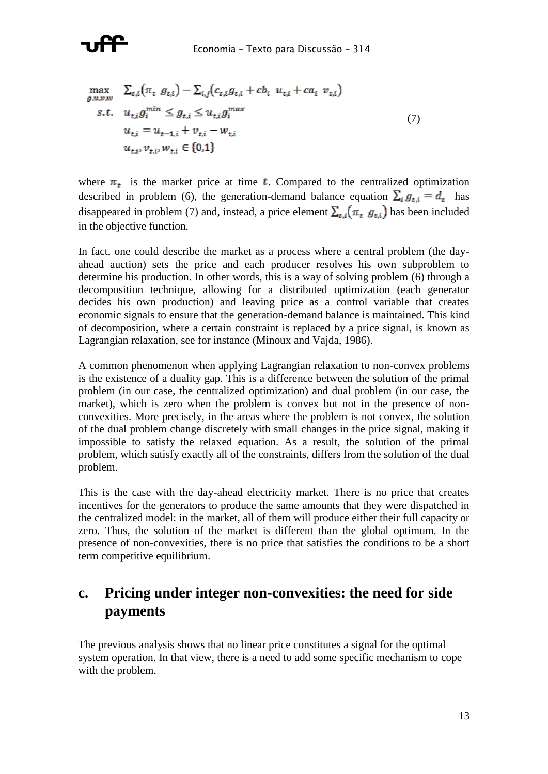

<span id="page-11-0"></span>
$$
\max_{g,u,v,w} \sum_{t,i} (\pi_t g_{t,i}) - \sum_{i,j} (c_{t,i} g_{t,i} + cb_i u_{t,i} + ca_i v_{t,i})
$$
  
s.t.  $u_{t,i} g_i^{min} \leq g_{t,i} \leq u_{t,i} g_i^{max}$   
 $u_{t,i} = u_{t-1,i} + v_{t,i} - w_{t,i}$   
 $u_{t,i}, v_{t,i}, w_{t,i} \in \{0,1\}$  (7)

where  $\pi_t$  is the market price at time **t**. Compared to the centralized optimization described in problem [\(6\)](#page-7-0), the generation-demand balance equation  $\sum_i g_{t,i} = d_t$  has disappeared in problem [\(7\)](#page-11-0) and, instead, a price element  $\sum_{t,i} (\pi_t, g_{t,i})$  has been included in the objective function.

In fact, one could describe the market as a process where a central problem (the dayahead auction) sets the price and each producer resolves his own subproblem to determine his production. In other words, this is a way of solving problem [\(6\)](#page-7-0) through a decomposition technique, allowing for a distributed optimization (each generator decides his own production) and leaving price as a control variable that creates economic signals to ensure that the generation-demand balance is maintained. This kind of decomposition, where a certain constraint is replaced by a price signal, is known as Lagrangian relaxation, see for instance (Minoux and Vajda, 1986).

A common phenomenon when applying Lagrangian relaxation to non-convex problems is the existence of a duality gap. This is a difference between the solution of the primal problem (in our case, the centralized optimization) and dual problem (in our case, the market), which is zero when the problem is convex but not in the presence of nonconvexities. More precisely, in the areas where the problem is not convex, the solution of the dual problem change discretely with small changes in the price signal, making it impossible to satisfy the relaxed equation. As a result, the solution of the primal problem, which satisfy exactly all of the constraints, differs from the solution of the dual problem.

This is the case with the day-ahead electricity market. There is no price that creates incentives for the generators to produce the same amounts that they were dispatched in the centralized model: in the market, all of them will produce either their full capacity or zero. Thus, the solution of the market is different than the global optimum. In the presence of non-convexities, there is no price that satisfies the conditions to be a short term competitive equilibrium.

## **c. Pricing under integer non-convexities: the need for side payments**

The previous analysis shows that no linear price constitutes a signal for the optimal system operation. In that view, there is a need to add some specific mechanism to cope with the problem.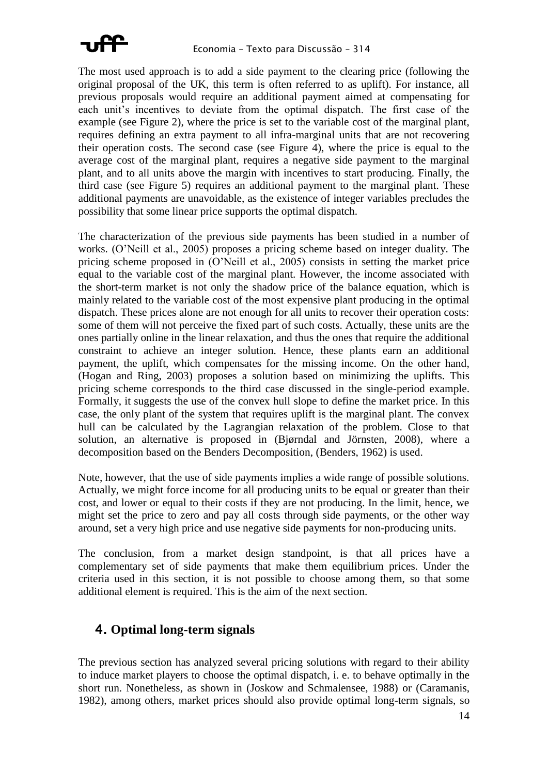

The most used approach is to add a side payment to the clearing price (following the original proposal of the UK, this term is often referred to as uplift). For instance, all previous proposals would require an additional payment aimed at compensating for each unit's incentives to deviate from the optimal dispatch. The first case of the example (see [Figure 2\)](#page-8-1), where the price is set to the variable cost of the marginal plant, requires defining an extra payment to all infra-marginal units that are not recovering their operation costs. The second case (see [Figure 4\)](#page-9-1), where the price is equal to the average cost of the marginal plant, requires a negative side payment to the marginal plant, and to all units above the margin with incentives to start producing. Finally, the third case (see [Figure 5\)](#page-10-0) requires an additional payment to the marginal plant. These additional payments are unavoidable, as the existence of integer variables precludes the possibility that some linear price supports the optimal dispatch.

The characterization of the previous side payments has been studied in a number of works. (O'Neill et al., 2005) proposes a pricing scheme based on integer duality. The pricing scheme proposed in (O'Neill et al., 2005) consists in setting the market price equal to the variable cost of the marginal plant. However, the income associated with the short-term market is not only the shadow price of the balance equation, which is mainly related to the variable cost of the most expensive plant producing in the optimal dispatch. These prices alone are not enough for all units to recover their operation costs: some of them will not perceive the fixed part of such costs. Actually, these units are the ones partially online in the linear relaxation, and thus the ones that require the additional constraint to achieve an integer solution. Hence, these plants earn an additional payment, the uplift, which compensates for the missing income. On the other hand, (Hogan and Ring, 2003) proposes a solution based on minimizing the uplifts. This pricing scheme corresponds to the third case discussed in the single-period example. Formally, it suggests the use of the convex hull slope to define the market price. In this case, the only plant of the system that requires uplift is the marginal plant. The convex hull can be calculated by the Lagrangian relaxation of the problem. Close to that solution, an alternative is proposed in (Bjørndal and Jörnsten, 2008), where a decomposition based on the Benders Decomposition, (Benders, 1962) is used.

Note, however, that the use of side payments implies a wide range of possible solutions. Actually, we might force income for all producing units to be equal or greater than their cost, and lower or equal to their costs if they are not producing. In the limit, hence, we might set the price to zero and pay all costs through side payments, or the other way around, set a very high price and use negative side payments for non-producing units.

The conclusion, from a market design standpoint, is that all prices have a complementary set of side payments that make them equilibrium prices. Under the criteria used in this section, it is not possible to choose among them, so that some additional element is required. This is the aim of the next section.

#### <span id="page-12-0"></span>4. **Optimal long-term signals**

The previous section has analyzed several pricing solutions with regard to their ability to induce market players to choose the optimal dispatch, i. e. to behave optimally in the short run. Nonetheless, as shown in (Joskow and Schmalensee, 1988) or (Caramanis, 1982), among others, market prices should also provide optimal long-term signals, so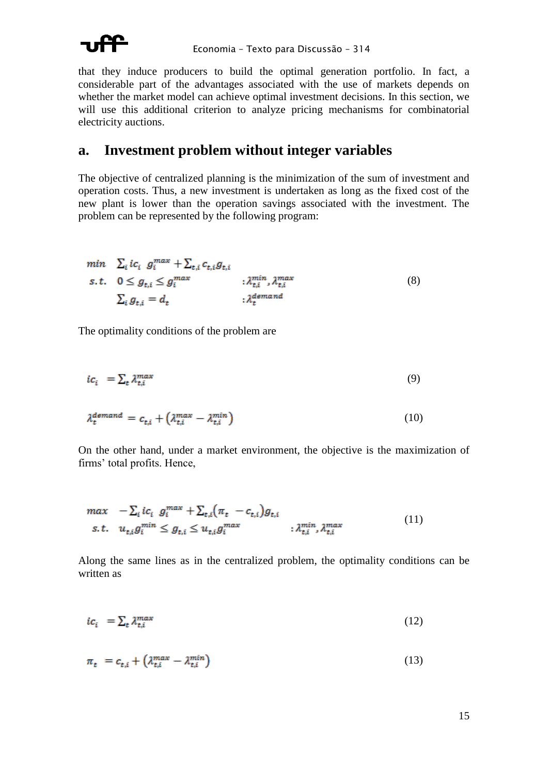

that they induce producers to build the optimal generation portfolio. In fact, a considerable part of the advantages associated with the use of markets depends on whether the market model can achieve optimal investment decisions. In this section, we will use this additional criterion to analyze pricing mechanisms for combinatorial electricity auctions.

#### **a. Investment problem without integer variables**

The objective of centralized planning is the minimization of the sum of investment and operation costs. Thus, a new investment is undertaken as long as the fixed cost of the new plant is lower than the operation savings associated with the investment. The problem can be represented by the following program:

<span id="page-13-1"></span>
$$
\begin{aligned}\n\min \quad & \sum_{i} i c_{i} \ g_{t}^{max} + \sum_{t,i} c_{t,i} g_{t,i} \\
\text{s.t.} \quad & 0 \leq g_{t,i} \leq g_{i}^{max} \qquad : \lambda_{t,i}^{min}, \lambda_{t,i}^{max} \\
& \sum_{i} g_{t,i} = d_{t} \qquad \qquad : \lambda_{t}^{demand}\n\end{aligned} \tag{8}
$$

The optimality conditions of the problem are

$$
ic_i = \sum_t \lambda_{t,i}^{max} \tag{9}
$$

$$
\lambda_t^{demand} = c_{t,i} + \left(\lambda_{t,i}^{max} - \lambda_{t,i}^{min}\right) \tag{10}
$$

On the other hand, under a market environment, the objective is the maximization of firms' total profits. Hence,

$$
\begin{aligned}\n\max \quad & -\sum_{i} i c_{i} \ g_{i}^{max} + \sum_{t,i} \left( \pi_{t} \ -c_{t,i} \right) g_{t,i} \\
\text{s.t.} \quad & u_{t,i} g_{i}^{min} \leq g_{t,i} \leq u_{t,i} g_{i}^{max} \qquad \qquad ; \lambda_{t,i}^{min}, \lambda_{t,i}^{max}\n\end{aligned} \tag{11}
$$

Along the same lines as in the centralized problem, the optimality conditions can be written as

<span id="page-13-0"></span>
$$
ic_i = \sum_t \lambda_{t,i}^{max} \tag{12}
$$

$$
\pi_t = c_{t,i} + \left(\lambda_{t,i}^{max} - \lambda_{t,i}^{min}\right) \tag{13}
$$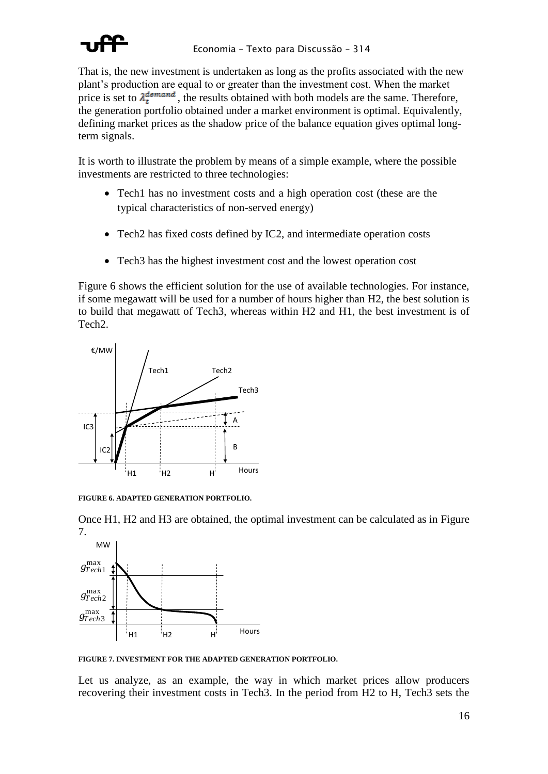

That is, the new investment is undertaken as long as the profits associated with the new plant's production are equal to or greater than the investment cost. When the market price is set to  $\lambda_t^{demand}$ , the results obtained with both models are the same. Therefore, the generation portfolio obtained under a market environment is optimal. Equivalently, defining market prices as the shadow price of the balance equation gives optimal longterm signals.

It is worth to illustrate the problem by means of a simple example, where the possible investments are restricted to three technologies:

- Tech1 has no investment costs and a high operation cost (these are the typical characteristics of non-served energy)
- Tech2 has fixed costs defined by IC2, and intermediate operation costs
- Tech3 has the highest investment cost and the lowest operation cost

[Figure 6](#page-14-0) shows the efficient solution for the use of available technologies. For instance, if some megawatt will be used for a number of hours higher than H2, the best solution is to build that megawatt of Tech3, whereas within H2 and H1, the best investment is of Tech2.



<span id="page-14-0"></span>**FIGURE 6. ADAPTED GENERATION PORTFOLIO.**

Once H1, H2 and H3 are obtained, the optimal investment can be calculated as in [Figure](#page-14-1) [7.](#page-14-1)



<span id="page-14-1"></span>**FIGURE 7. INVESTMENT FOR THE ADAPTED GENERATION PORTFOLIO.**

Let us analyze, as an example, the way in which market prices allow producers recovering their investment costs in Tech3. In the period from H2 to H, Tech3 sets the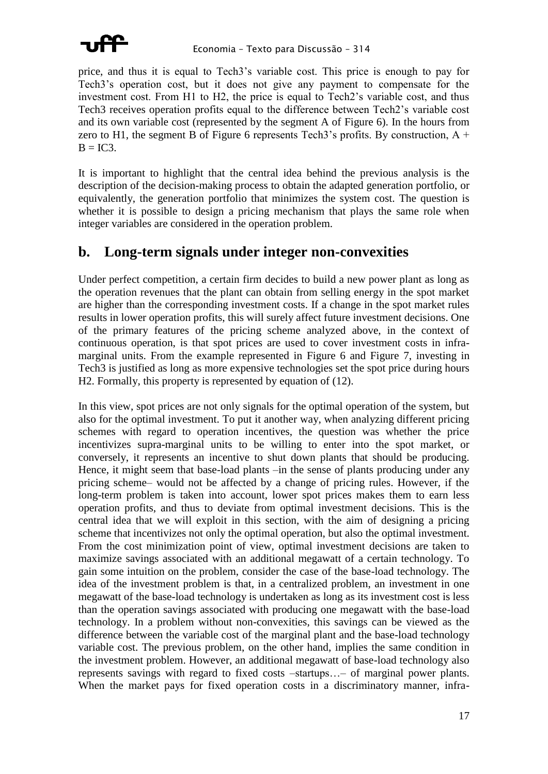

price, and thus it is equal to Tech3's variable cost. This price is enough to pay for Tech3's operation cost, but it does not give any payment to compensate for the investment cost. From H1 to H2, the price is equal to Tech2's variable cost, and thus Tech3 receives operation profits equal to the difference between Tech2's variable cost and its own variable cost (represented by the segment A of Figure 6). In the hours from zero to H1, the segment B of Figure 6 represents Tech3's profits. By construction,  $A +$  $B = IC3.$ 

It is important to highlight that the central idea behind the previous analysis is the description of the decision-making process to obtain the adapted generation portfolio, or equivalently, the generation portfolio that minimizes the system cost. The question is whether it is possible to design a pricing mechanism that plays the same role when integer variables are considered in the operation problem.

#### <span id="page-15-0"></span>Long-term signals under integer non-convexities  $\mathbf{b}$ .

Under perfect competition, a certain firm decides to build a new power plant as long as the operation revenues that the plant can obtain from selling energy in the spot market are higher than the corresponding investment costs. If a change in the spot market rules results in lower operation profits, this will surely affect future investment decisions. One of the primary features of the pricing scheme analyzed above, in the context of continuous operation, is that spot prices are used to cover investment costs in inframarginal units. From the example represented in Figure 6 and Figure 7, investing in Tech3 is justified as long as more expensive technologies set the spot price during hours H2. Formally, this property is represented by equation of (12).

In this view, spot prices are not only signals for the optimal operation of the system, but also for the optimal investment. To put it another way, when analyzing different pricing schemes with regard to operation incentives, the question was whether the price incentivizes supra-marginal units to be willing to enter into the spot market, or conversely, it represents an incentive to shut down plants that should be producing. Hence, it might seem that base-load plants -in the sense of plants producing under any pricing scheme– would not be affected by a change of pricing rules. However, if the long-term problem is taken into account, lower spot prices makes them to earn less operation profits, and thus to deviate from optimal investment decisions. This is the central idea that we will exploit in this section, with the aim of designing a pricing scheme that incentivizes not only the optimal operation, but also the optimal investment. From the cost minimization point of view, optimal investment decisions are taken to maximize savings associated with an additional megawatt of a certain technology. To gain some intuition on the problem, consider the case of the base-load technology. The idea of the investment problem is that, in a centralized problem, an investment in one megawatt of the base-load technology is undertaken as long as its investment cost is less than the operation savings associated with producing one megawatt with the base-load technology. In a problem without non-convexities, this savings can be viewed as the difference between the variable cost of the marginal plant and the base-load technology variable cost. The previous problem, on the other hand, implies the same condition in the investment problem. However, an additional megawatt of base-load technology also represents savings with regard to fixed costs -startups...- of marginal power plants. When the market pays for fixed operation costs in a discriminatory manner, infra-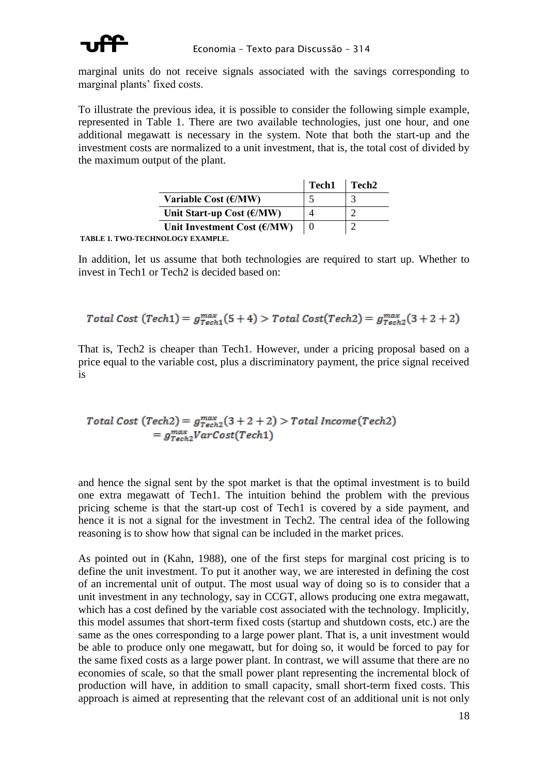

marginal units do not receive signals associated with the savings corresponding to marginal plants' fixed costs.

To illustrate the previous idea, it is possible to consider the following simple example, represented in [Table 1.](#page-16-0) There are two available technologies, just one hour, and one additional megawatt is necessary in the system. Note that both the start-up and the investment costs are normalized to a unit investment, that is, the total cost of divided by the maximum output of the plant.

|                                                                                         | Tech <sub>1</sub> | Tech <sub>2</sub> |
|-----------------------------------------------------------------------------------------|-------------------|-------------------|
| Variable Cost $(\mathcal{E}/MW)$                                                        |                   |                   |
| Unit Start-up Cost $(\epsilon/MW)$                                                      |                   |                   |
| Unit Investment Cost $(\text{\ensuremath{\mathsf{f}}}/\text{\ensuremath{\mathsf{M}W}})$ | $\Omega$          |                   |

<span id="page-16-0"></span>**TABLE 1. TWO-TECHNOLOGY EXAMPLE.**

In addition, let us assume that both technologies are required to start up. Whether to invest in Tech1 or Tech2 is decided based on:

Total Cost (Techn1) = 
$$
g_{Tech1}^{max}(5+4)
$$
 > Total Cost(Techn2) =  $g_{Tech2}^{max}(3+2+2)$ 

That is, Tech2 is cheaper than Tech1. However, under a pricing proposal based on a price equal to the variable cost, plus a discriminatory payment, the price signal received is

# Total Cost (Tech2) =  $g_{Tech2}^{max}(3 + 2 + 2)$  > Total Income(Tech2)<br>=  $g_{Tech2}^{max}VarCost(Tech1)$

and hence the signal sent by the spot market is that the optimal investment is to build one extra megawatt of Tech1. The intuition behind the problem with the previous pricing scheme is that the start-up cost of Tech1 is covered by a side payment, and hence it is not a signal for the investment in Tech2. The central idea of the following reasoning is to show how that signal can be included in the market prices.

As pointed out in (Kahn, 1988), one of the first steps for marginal cost pricing is to define the unit investment. To put it another way, we are interested in defining the cost of an incremental unit of output. The most usual way of doing so is to consider that a unit investment in any technology, say in CCGT, allows producing one extra megawatt, which has a cost defined by the variable cost associated with the technology. Implicitly, this model assumes that short-term fixed costs (startup and shutdown costs, etc.) are the same as the ones corresponding to a large power plant. That is, a unit investment would be able to produce only one megawatt, but for doing so, it would be forced to pay for the same fixed costs as a large power plant. In contrast, we will assume that there are no economies of scale, so that the small power plant representing the incremental block of production will have, in addition to small capacity, small short-term fixed costs. This approach is aimed at representing that the relevant cost of an additional unit is not only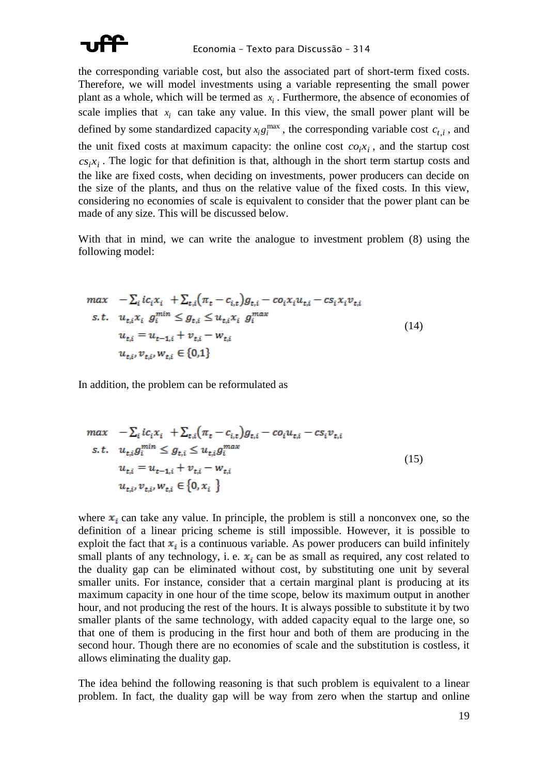

the corresponding variable cost, but also the associated part of short-term fixed costs. Therefore, we will model investments using a variable representing the small power plant as a whole, which will be termed as  $x_i$ . Furthermore, the absence of economies of scale implies that  $x_i$  can take any value. In this view, the small power plant will be defined by some standardized capacity  $x_i g_i^{\text{max}}$ , the corresponding variable cost  $c_{t,i}$ , and the unit fixed costs at maximum capacity: the online cost  $co_i x_i$ , and the startup cost  $cs_i x_i$ . The logic for that definition is that, although in the short term startup costs and the like are fixed costs, when deciding on investments, power producers can decide on the size of the plants, and thus on the relative value of the fixed costs. In this view, considering no economies of scale is equivalent to consider that the power plant can be made of any size. This will be discussed below.

With that in mind, we can write the analogue to investment problem [\(8\)](#page-13-1) using the following model:

$$
max \t -\sum_{i} ic_{i}x_{i} + \sum_{t,i} (\pi_{t} - c_{i,t})g_{t,i} - co_{i}x_{i}u_{t,i} - cs_{i}x_{i}v_{t,i}
$$
  
s.t.  $u_{t,i}x_{i} g_{i}^{min} \leq g_{t,i} \leq u_{t,i}x_{i} g_{i}^{max}$   
 $u_{t,i} = u_{t-1,i} + v_{t,i} - w_{t,i}$   
 $u_{t,i}v_{t,i}u_{t,i} \in \{0,1\}$  (14)

In addition, the problem can be reformulated as

$$
max \t -\sum_{i} ic_{i}x_{i} + \sum_{t,i} (\pi_{t} - c_{i,t})g_{t,i} - co_{i}u_{t,i} - cs_{i}v_{t,i}
$$
  
s.t.  $u_{t,i}g_{i}^{min} \leq g_{t,i} \leq u_{t,i}g_{i}^{max}$   
 $u_{t,i} = u_{t-1,i} + v_{t,i} - w_{t,i}$   
 $u_{t,i}, v_{t,i}, w_{t,i} \in \{0, x_{i}\}$  (15)

where  $x_i$  can take any value. In principle, the problem is still a nonconvex one, so the definition of a linear pricing scheme is still impossible. However, it is possible to exploit the fact that  $x_i$  is a continuous variable. As power producers can build infinitely small plants of any technology, i. e.  $x_i$  can be as small as required, any cost related to the duality gap can be eliminated without cost, by substituting one unit by several smaller units. For instance, consider that a certain marginal plant is producing at its maximum capacity in one hour of the time scope, below its maximum output in another hour, and not producing the rest of the hours. It is always possible to substitute it by two smaller plants of the same technology, with added capacity equal to the large one, so that one of them is producing in the first hour and both of them are producing in the second hour. Though there are no economies of scale and the substitution is costless, it allows eliminating the duality gap.

The idea behind the following reasoning is that such problem is equivalent to a linear problem. In fact, the duality gap will be way from zero when the startup and online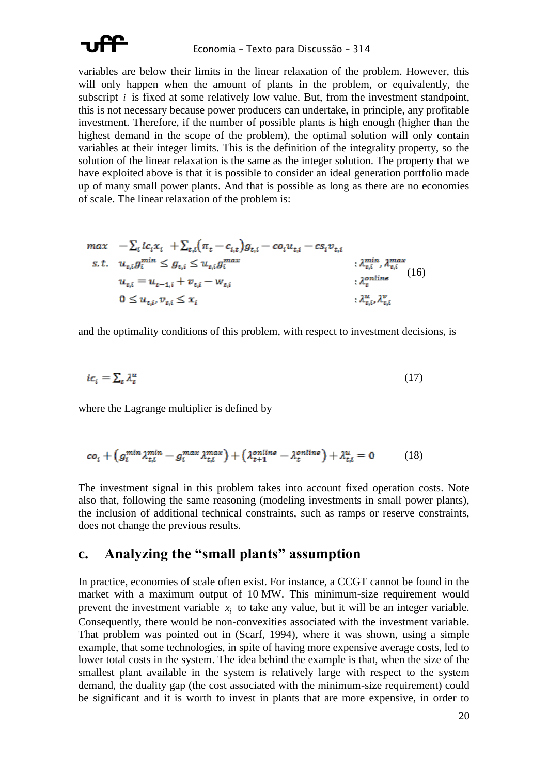

variables are below their limits in the linear relaxation of the problem. However, this will only happen when the amount of plants in the problem, or equivalently, the subscript  $i$  is fixed at some relatively low value. But, from the investment standpoint, this is not necessary because power producers can undertake, in principle, any profitable investment. Therefore, if the number of possible plants is high enough (higher than the highest demand in the scope of the problem), the optimal solution will only contain variables at their integer limits. This is the definition of the integrality property, so the solution of the linear relaxation is the same as the integer solution. The property that we have exploited above is that it is possible to consider an ideal generation portfolio made up of many small power plants. And that is possible as long as there are no economies of scale. The linear relaxation of the problem is:

$$
\begin{aligned}\n\max \quad & -\sum_{i} i c_{i} x_{i} + \sum_{t,i} \left( \pi_{t} - c_{i,t} \right) g_{t,i} - c s_{i} u_{t,i} - c s_{i} v_{t,i} \\
\text{s.t.} \quad & u_{t,i} g_{i}^{min} \leq g_{t,i} \leq u_{t,i} g_{i}^{max} \\
& u_{t,i} = u_{t-1,i} + v_{t,i} - w_{t,i} \\
& 0 \leq u_{t,i}, v_{t,i} \leq x_{i} \\
& \qquad \qquad \vdots \\
\lambda_{t,i}^{n} \lambda_{t,i}^{n} \\
& \qquad \qquad \vdots \\
\lambda_{t,i}^{u} \lambda_{t,i}^{v} \\
& \qquad \qquad \vdots \\
\lambda_{t,i}^{u} \lambda_{t,i}^{v}\n\end{aligned}
$$

and the optimality conditions of this problem, with respect to investment decisions, is

$$
ic_i = \sum_t \lambda_t^u \tag{17}
$$

where the Lagrange multiplier is defined by

$$
co_i + \left(g_i^{min} \lambda_{t,i}^{min} - g_i^{max} \lambda_{t,i}^{max}\right) + \left(\lambda_{t+1}^{online} - \lambda_t^{online}\right) + \lambda_{t,i}^{u} = 0 \tag{18}
$$

The investment signal in this problem takes into account fixed operation costs. Note also that, following the same reasoning (modeling investments in small power plants), the inclusion of additional technical constraints, such as ramps or reserve constraints, does not change the previous results.

#### Analyzing the "small plants" assumption  $\mathbf{c}$ .

In practice, economies of scale often exist. For instance, a CCGT cannot be found in the market with a maximum output of 10 MW. This minimum-size requirement would prevent the investment variable  $x_i$  to take any value, but it will be an integer variable. Consequently, there would be non-convexities associated with the investment variable. That problem was pointed out in (Scarf, 1994), where it was shown, using a simple example, that some technologies, in spite of having more expensive average costs, led to lower total costs in the system. The idea behind the example is that, when the size of the smallest plant available in the system is relatively large with respect to the system demand, the duality gap (the cost associated with the minimum-size requirement) could be significant and it is worth to invest in plants that are more expensive, in order to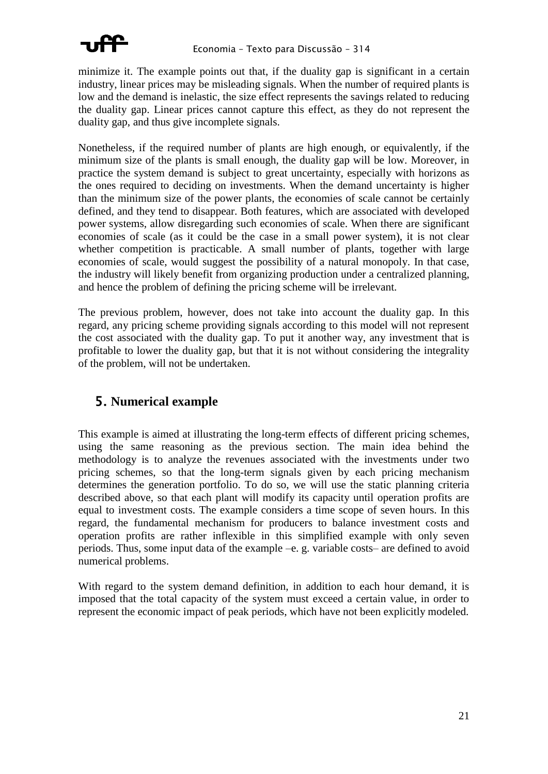

minimize it. The example points out that, if the duality gap is significant in a certain industry, linear prices may be misleading signals. When the number of required plants is low and the demand is inelastic, the size effect represents the savings related to reducing the duality gap. Linear prices cannot capture this effect, as they do not represent the duality gap, and thus give incomplete signals.

Nonetheless, if the required number of plants are high enough, or equivalently, if the minimum size of the plants is small enough, the duality gap will be low. Moreover, in practice the system demand is subject to great uncertainty, especially with horizons as the ones required to deciding on investments. When the demand uncertainty is higher than the minimum size of the power plants, the economies of scale cannot be certainly defined, and they tend to disappear. Both features, which are associated with developed power systems, allow disregarding such economies of scale. When there are significant economies of scale (as it could be the case in a small power system), it is not clear whether competition is practicable. A small number of plants, together with large economies of scale, would suggest the possibility of a natural monopoly. In that case, the industry will likely benefit from organizing production under a centralized planning, and hence the problem of defining the pricing scheme will be irrelevant.

The previous problem, however, does not take into account the duality gap. In this regard, any pricing scheme providing signals according to this model will not represent the cost associated with the duality gap. To put it another way, any investment that is profitable to lower the duality gap, but that it is not without considering the integrality of the problem, will not be undertaken.

## <span id="page-19-0"></span>5. **Numerical example**

This example is aimed at illustrating the long-term effects of different pricing schemes, using the same reasoning as the previous section. The main idea behind the methodology is to analyze the revenues associated with the investments under two pricing schemes, so that the long-term signals given by each pricing mechanism determines the generation portfolio. To do so, we will use the static planning criteria described above, so that each plant will modify its capacity until operation profits are equal to investment costs. The example considers a time scope of seven hours. In this regard, the fundamental mechanism for producers to balance investment costs and operation profits are rather inflexible in this simplified example with only seven periods. Thus, some input data of the example –e. g. variable costs– are defined to avoid numerical problems.

With regard to the system demand definition, in addition to each hour demand, it is imposed that the total capacity of the system must exceed a certain value, in order to represent the economic impact of peak periods, which have not been explicitly modeled.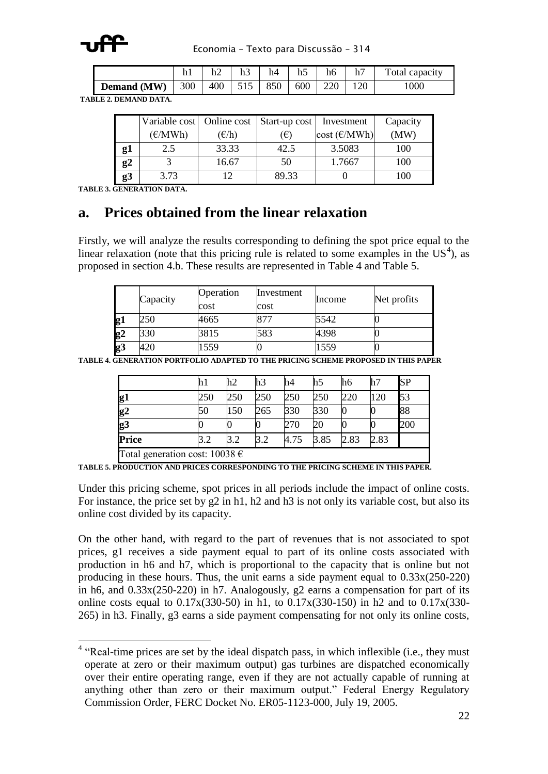

Economia – Texto para Discussão – 314

|                    | 11 1 | h2      | 11. | h4  | h5  | h6  | h7  | Total capacity |
|--------------------|------|---------|-----|-----|-----|-----|-----|----------------|
| <b>Demand</b> (MW) | 300  | 400 515 |     | 850 | 600 | 220 | 120 | 1000           |

**TABLE 2. DEMAND DATA.**

|    | Variable cost   Online cost<br>(E/MWh) | $(\epsilon/h)$ | Start-up cost<br>$(\epsilon)$ | Investment<br>$cost(\text{E}/MWh)$ | Capacity<br>(MW) |  |
|----|----------------------------------------|----------------|-------------------------------|------------------------------------|------------------|--|
| g1 | 2.5                                    | 33.33          | 42.5                          | 3.5083                             | 100              |  |
| g2 |                                        | 16.67          | 50                            | 1.7667                             | 100              |  |
| g3 | 3.73                                   | 12             | 89.33                         |                                    | 100              |  |

**TABLE 3. GENERATION DATA.**

#### **a. Prices obtained from the linear relaxation**

Firstly, we will analyze the results corresponding to defining the spot price equal to the linear relaxation (note that this pricing rule is related to some examples in the  $US^4$ ), as proposed in section [4.b.](#page-15-0) These results are represented in [Table 4](#page-20-0) and [Table 5.](#page-20-1)

|    | Capacity | Operation<br>cost | Investment<br>cost | Income | Net profits |  |
|----|----------|-------------------|--------------------|--------|-------------|--|
| g1 | 250      | 4665              |                    | 5542   |             |  |
| g2 | 330      | 3815              | 583                | 4398   |             |  |
| g3 | 420      | 559               |                    | 1559   |             |  |

<span id="page-20-0"></span>**TABLE 4. GENERATION PORTFOLIO ADAPTED TO THE PRICING SCHEME PROPOSED IN THIS PAPER**

|                                    | hl  | h2  | h3  | h4   | h5   | h6   | h7   | <b>SP</b> |  |
|------------------------------------|-----|-----|-----|------|------|------|------|-----------|--|
| g1                                 | 250 | 250 | 250 | 250  | 250  | 220  | 120  | 53        |  |
| g2                                 | 50  | 150 | 265 | 330  | 330  |      |      | 88        |  |
| $\overline{\mathbf{g3}}$           |     |     |     | 270  | 20   |      |      | 200       |  |
| Price                              | 3.2 | 3.2 | 3.2 | 4.75 | 3.85 | 2.83 | 2.83 |           |  |
| Total generation cost: $10038 \in$ |     |     |     |      |      |      |      |           |  |

<span id="page-20-1"></span>**TABLE 5. PRODUCTION AND PRICES CORRESPONDING TO THE PRICING SCHEME IN THIS PAPER.**

Under this pricing scheme, spot prices in all periods include the impact of online costs. For instance, the price set by g2 in h1, h2 and h3 is not only its variable cost, but also its online cost divided by its capacity.

On the other hand, with regard to the part of revenues that is not associated to spot prices, g1 receives a side payment equal to part of its online costs associated with production in h6 and h7, which is proportional to the capacity that is online but not producing in these hours. Thus, the unit earns a side payment equal to 0.33x(250-220) in h6, and 0.33x(250-220) in h7. Analogously, g2 earns a compensation for part of its online costs equal to  $0.17x(330-50)$  in h1, to  $0.17x(330-150)$  in h2 and to  $0.17x(330-150)$ 265) in h3. Finally, g3 earns a side payment compensating for not only its online costs,

<sup>&</sup>lt;sup>4</sup> "Real-time prices are set by the ideal dispatch pass, in which inflexible (i.e., they must operate at zero or their maximum output) gas turbines are dispatched economically over their entire operating range, even if they are not actually capable of running at anything other than zero or their maximum output." Federal Energy Regulatory Commission Order, FERC Docket No. ER05-1123-000, July 19, 2005.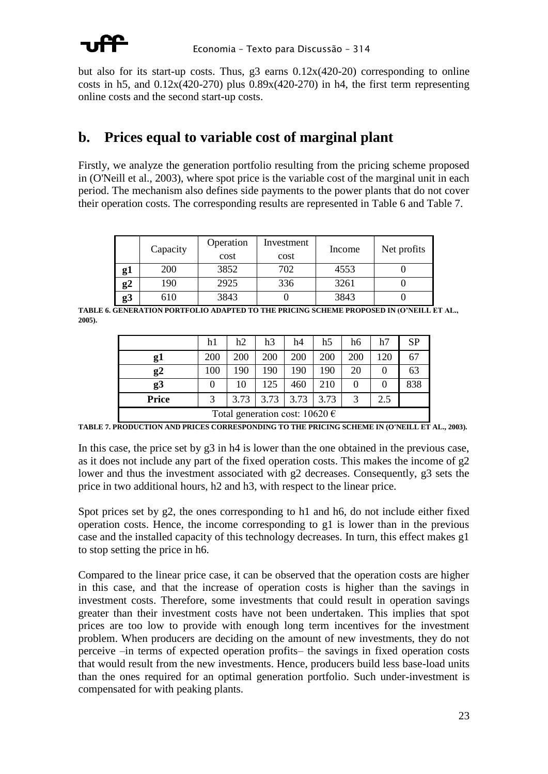but also for its start-up costs. Thus, g3 earns 0.12x(420-20) corresponding to online costs in h5, and  $0.12x(420-270)$  plus  $0.89x(420-270)$  in h4, the first term representing online costs and the second start-up costs.

## **b. Prices equal to variable cost of marginal plant**

Firstly, we analyze the generation portfolio resulting from the pricing scheme proposed in (O'Neill et al., 2003), where spot price is the variable cost of the marginal unit in each period. The mechanism also defines side payments to the power plants that do not cover their operation costs. The corresponding results are represented in [Table 6](#page-21-0) and [Table 7.](#page-21-1)

|             | Capacity | Operation<br>cost | Investment<br>cost | Income | Net profits |
|-------------|----------|-------------------|--------------------|--------|-------------|
| g1          | 200      | 3852              | 702                | 4553   |             |
| $_{\rm g2}$ | 190      | 2925              | 336                | 3261   |             |
| g3          | 610      | 3843              |                    | 3843   |             |

<span id="page-21-0"></span>**TABLE 6. GENERATION PORTFOLIO ADAPTED TO THE PRICING SCHEME PROPOSED IN (O'NEILL ET AL., 2005).**

|                                    | h1         | h2   | h3   | h4   | h5   | h6  | h7  | <b>SP</b> |
|------------------------------------|------------|------|------|------|------|-----|-----|-----------|
| g1                                 | <b>200</b> | 200  | 200  | 200  | 200  | 200 | 120 | 67        |
| g2                                 | 100        | 190  | 190  | 190  | 190  | 20  | 0   | 63        |
| g <sub>3</sub>                     | $\theta$   | 10   | 125  | 460  | 210  |     |     | 838       |
| <b>Price</b>                       | 3          | 3.73 | 3.73 | 3.73 | 3.73 |     | 2.5 |           |
| Total generation cost: $10620 \in$ |            |      |      |      |      |     |     |           |

<span id="page-21-1"></span>**TABLE 7. PRODUCTION AND PRICES CORRESPONDING TO THE PRICING SCHEME IN (O'NEILL ET AL., 2003).**

In this case, the price set by g3 in h4 is lower than the one obtained in the previous case, as it does not include any part of the fixed operation costs. This makes the income of g2 lower and thus the investment associated with g2 decreases. Consequently, g3 sets the price in two additional hours, h2 and h3, with respect to the linear price.

Spot prices set by g2, the ones corresponding to h1 and h6, do not include either fixed operation costs. Hence, the income corresponding to g1 is lower than in the previous case and the installed capacity of this technology decreases. In turn, this effect makes g1 to stop setting the price in h6.

Compared to the linear price case, it can be observed that the operation costs are higher in this case, and that the increase of operation costs is higher than the savings in investment costs. Therefore, some investments that could result in operation savings greater than their investment costs have not been undertaken. This implies that spot prices are too low to provide with enough long term incentives for the investment problem. When producers are deciding on the amount of new investments, they do not perceive –in terms of expected operation profits– the savings in fixed operation costs that would result from the new investments. Hence, producers build less base-load units than the ones required for an optimal generation portfolio. Such under-investment is compensated for with peaking plants.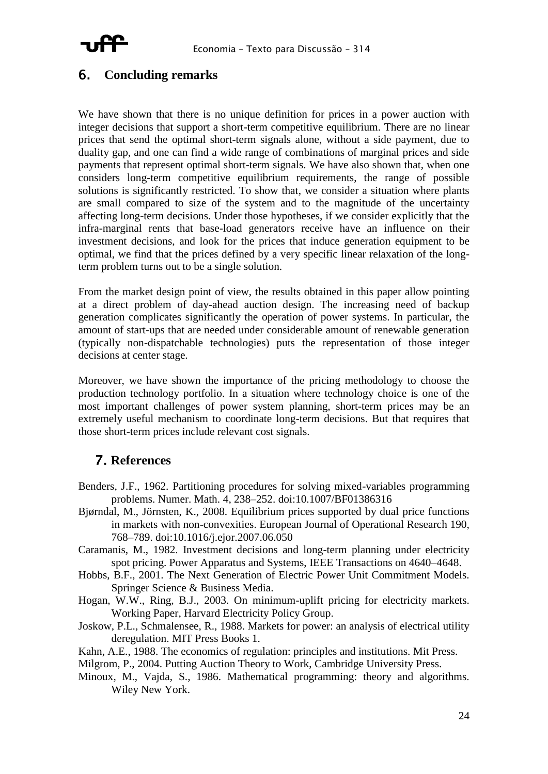

#### <span id="page-22-0"></span>6. **Concluding remarks**

We have shown that there is no unique definition for prices in a power auction with integer decisions that support a short-term competitive equilibrium. There are no linear prices that send the optimal short-term signals alone, without a side payment, due to duality gap, and one can find a wide range of combinations of marginal prices and side payments that represent optimal short-term signals. We have also shown that, when one considers long-term competitive equilibrium requirements, the range of possible solutions is significantly restricted. To show that, we consider a situation where plants are small compared to size of the system and to the magnitude of the uncertainty affecting long-term decisions. Under those hypotheses, if we consider explicitly that the infra-marginal rents that base-load generators receive have an influence on their investment decisions, and look for the prices that induce generation equipment to be optimal, we find that the prices defined by a very specific linear relaxation of the longterm problem turns out to be a single solution.

From the market design point of view, the results obtained in this paper allow pointing at a direct problem of day-ahead auction design. The increasing need of backup generation complicates significantly the operation of power systems. In particular, the amount of start-ups that are needed under considerable amount of renewable generation (typically non-dispatchable technologies) puts the representation of those integer decisions at center stage.

Moreover, we have shown the importance of the pricing methodology to choose the production technology portfolio. In a situation where technology choice is one of the most important challenges of power system planning, short-term prices may be an extremely useful mechanism to coordinate long-term decisions. But that requires that those short-term prices include relevant cost signals.

#### 7. **References**

- Benders, J.F., 1962. Partitioning procedures for solving mixed-variables programming problems. Numer. Math. 4, 238–252. doi:10.1007/BF01386316
- Bjørndal, M., Jörnsten, K., 2008. Equilibrium prices supported by dual price functions in markets with non-convexities. European Journal of Operational Research 190, 768–789. doi:10.1016/j.ejor.2007.06.050
- Caramanis, M., 1982. Investment decisions and long-term planning under electricity spot pricing. Power Apparatus and Systems, IEEE Transactions on 4640–4648.
- Hobbs, B.F., 2001. The Next Generation of Electric Power Unit Commitment Models. Springer Science & Business Media.
- Hogan, W.W., Ring, B.J., 2003. On minimum-uplift pricing for electricity markets. Working Paper, Harvard Electricity Policy Group.
- Joskow, P.L., Schmalensee, R., 1988. Markets for power: an analysis of electrical utility deregulation. MIT Press Books 1.
- Kahn, A.E., 1988. The economics of regulation: principles and institutions. Mit Press.
- Milgrom, P., 2004. Putting Auction Theory to Work, Cambridge University Press.
- Minoux, M., Vajda, S., 1986. Mathematical programming: theory and algorithms. Wiley New York.